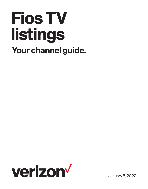# **Fios TV listings Your channel guide.**



January 5, 2022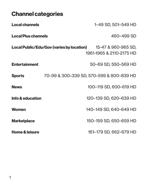### **Channel categories**

| <b>Local channels</b>      |                                                  | 1-49 SD, 501-549 HD                             |
|----------------------------|--------------------------------------------------|-------------------------------------------------|
| <b>Local Plus channels</b> |                                                  | 460-499 SD                                      |
|                            | <b>Local Public/Edu/Gov (varies by location)</b> | 15-47 & 960-965 SD,<br>1961-1965 & 2110-2175 HD |
| <b>Entertainment</b>       |                                                  | 50–69 SD, 550–569 HD                            |
| <b>Sports</b>              |                                                  | 70-99 & 300-339 SD, 570-599 & 800-839 HD        |
| <b>News</b>                |                                                  | 100-119 SD, 600-619 HD                          |
| Info & education           |                                                  | 120-139 SD, 620-639 HD                          |
| <b>Women</b>               |                                                  | 140–149 SD, 640–649 HD                          |
| <b>Marketplace</b>         |                                                  | 150-159 SD, 650-659 HD                          |
| <b>Home &amp; leisure</b>  |                                                  | 161–179 SD, 662–679 HD                          |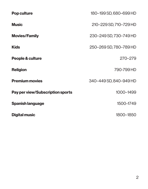| <b>Pop culture</b>                      | 180-199 SD, 680-699 HD |
|-----------------------------------------|------------------------|
| <b>Music</b>                            | 210-229 SD, 710-729 HD |
| <b>Movies/Family</b>                    | 230-249 SD, 730-749 HD |
| <b>Kids</b>                             | 250-269 SD, 780-789 HD |
| People & culture                        | $270 - 279$            |
| <b>Religion</b>                         | 790-799 HD             |
| <b>Premium movies</b>                   | 340-449 SD, 840-949 HD |
| <b>Pay per view/Subscription sports</b> | 1000-1499              |
| <b>Spanish language</b>                 | 1500-1749              |
| <b>Digital music</b>                    | 1800-1850              |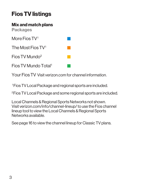# **Fios TV listings**

**Mix and match plans Packages**

More Fios TV1

The Most Fios TV1

Fios TV Mundo<sup>2</sup>

Fios TV Mundo Total1

Your Fios TV Visit verizon.com for channel information.

1 Fios TV Local Package and regional sports are included.

2Fios TV Local Package and some regional sports are included.

Local Channels & Regional Sports Networks not shown. Visit verizon.com/info/channel-lineup/ to use the Fios channel lineup tool to view the Local Channels & Regional Sports Networks available.

See page 16 to view the channel lineup for Classic TV plans.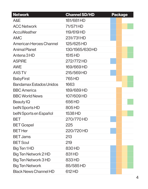| <b>Network</b>                 | <b>Channel SD/HD</b> | <b>Package</b> |
|--------------------------------|----------------------|----------------|
| A&E                            | 181/681HD            |                |
| <b>ACC Network</b>             | 71/571HD             |                |
| AccuWeather                    | 119/619 HD           |                |
| <b>AMC</b>                     | 231/731HD            |                |
| <b>American Heroes Channel</b> | 125/625 HD           |                |
| <b>Animal Planet</b>           | 130/1565/630HD       |                |
| Antena 3 HD                    | 1515 HD              |                |
| <b>ASPIRE</b>                  | 272/772 HD           |                |
| <b>AWE</b>                     | 169/669 HD           |                |
| <b>AXS TV</b>                  | 215/569 HD           |                |
| <b>BabyFirst</b>               | 765 HD               |                |
| <b>Bandamax Estados Unidos</b> | 1663                 |                |
| <b>BBC</b> America             | 189/689HD            |                |
| <b>BBC World News</b>          | 107/609 HD           |                |
| <b>Beauty IQ</b>               | 656 HD               |                |
| belN Sports HD                 | 805 HD               |                |
| belN Sports en Español         | 1538 HD              |                |
| BET                            | 270/770 HD           |                |
| <b>BET Gospel</b>              | 225                  |                |
| <b>BET Her</b>                 | 220/720 HD           |                |
| <b>BET Jams</b>                | 213                  |                |
| <b>BET Soul</b>                | 219                  |                |
| Big Ten 1HD                    | 830 HD               |                |
| Big Ten Network 2 HD           | 831HD                |                |
| Big Ten Network 3 HD           | 833HD                |                |
| <b>Big Ten Network</b>         | 85/585 HD            |                |
| <b>Black News Channel HD</b>   | 612 HD               |                |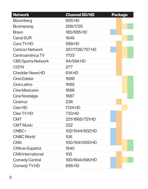| <b>Network</b>            | <b>Channel SD/HD</b> | <b>Package</b> |
|---------------------------|----------------------|----------------|
| <b>Bloomberg</b>          | 605HD                |                |
| <b>Boomerang</b>          | 258/1725             |                |
| <b>Bravo</b>              | 185/685 HD           |                |
| <b>Canal SUR</b>          | 1549                 |                |
| Cars TV HD                | 599 HD               |                |
| <b>Cartoon Network</b>    | 257/1726/757 HD      |                |
| Centroamérica TV          | 1703                 |                |
| <b>CBS Sports Network</b> | 94/594 HD            |                |
| <b>CGTN</b>               | 277                  |                |
| <b>Cheddar News HD</b>    | 614 HD               |                |
| <b>Cine Estelar</b>       | 1688                 |                |
| Cine Latino               | 1685                 |                |
| <b>Cine Mexicano</b>      | 1686                 |                |
| Cine Nostalgia            | 1687                 |                |
| Cinémoi                   | 236                  |                |
| Clan HD                   | 1724 HD              |                |
| Cleo TV HD                | 733 HD               |                |
| <b>CMT</b>                | 221/1665/721HD       |                |
| <b>CMT Music</b>          | 222                  |                |
| CNBC+                     | 102/1544/602HD       |                |
| <b>CNBC World</b>         | 106                  |                |
| <b>CNN</b>                | 100/1541/600HD       |                |
| <b>CNN</b> en Español     | 1540                 |                |
| <b>CNN</b> International  | 105                  |                |
| <b>Comedy Central</b>     | 190/1644/690HD       |                |
| Comedy TV HD              | 695 HD               |                |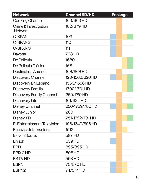| <b>Network</b>                          | <b>Channel SD/HD</b> | <b>Package</b> |
|-----------------------------------------|----------------------|----------------|
| <b>Cooking Channel</b>                  | 163/663 HD           |                |
| Crime & Investigation<br><b>Network</b> | 182/679 HD           |                |
| <b>C-SPAN</b>                           | 109                  |                |
| C-SPAN 2                                | 110                  |                |
| C-SPAN <sub>3</sub>                     | 111                  |                |
| Daystar                                 | 793 HD               |                |
| De Película                             | 1680                 |                |
| De Película Clásico                     | 1681                 |                |
| <b>Destination America</b>              | 168/668 HD           |                |
| <b>Discovery Channel</b>                | 120/1562/620HD       |                |
| Discovery En Español                    | 1563/1558 HD         |                |
| Discovery Familia                       | 1702/1701HD          |                |
| <b>Discovery Family Channel</b>         | 259/789HD            |                |
| Discovery Life                          | 161/624 HD           |                |
| <b>Disney Channel</b>                   | 250/1729/780HD       |                |
| <b>Disney Junior</b>                    | 260                  |                |
| Disney XD                               | 251/1722/781HD       |                |
| E! Entertainment Television             | 196/1640/696HD       |                |
| Ecuavisa Internacional                  | 1512                 |                |
| <b>Eleven Sports</b>                    | 597 HD               |                |
| Enrich                                  | 659 HD               |                |
| <b>EPIX</b>                             | 395/895 HD           |                |
| EPIX 2 HD                               | 896 HD               |                |
| <b>ESTVHD</b>                           | 558 HD               |                |
| <b>ESPN</b>                             | 70/570 HD            |                |
| ESPN <sub>2</sub>                       | 74/574 HD            |                |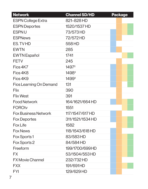| <b>Network</b>                 | <b>Channel SD/HD</b> | <b>Package</b> |
|--------------------------------|----------------------|----------------|
| <b>ESPN College Extra</b>      | 821-828 HD           |                |
| <b>ESPN Deportes</b>           | 1520/1537 HD         |                |
| <b>ESPNU</b>                   | 73/573 HD            |                |
| <b>ESPNews</b>                 | 72/572 HD            |                |
| ES. TVHD                       | 558 HD               |                |
| <b>EWTN</b>                    | 285                  |                |
| <b>EWTN</b> Español            | 1741                 |                |
| <b>FETV</b>                    | 245                  |                |
| Fios 4K7                       | 1497 <sup>‡</sup>    |                |
| Fios 4K8                       | 1498 <sup>‡</sup>    |                |
| Fios 4K9                       | 1499 <sup>‡</sup>    |                |
| <b>Fios Learning On Demand</b> | 131                  |                |
| <b>Flix</b>                    | 390                  |                |
| <b>Flix West</b>               | 391                  |                |
| <b>Food Network</b>            | 164/1621/664 HD      |                |
| <b>FOROtv</b>                  | 1551                 |                |
| <b>Fox Business Network</b>    | 117/1547/617 HD      |                |
| <b>Fox Deportes</b>            | 311/1521/1534 HD     |                |
| <b>Fox Life</b>                | 1582                 |                |
| <b>Fox News</b>                | 118/1543/618 HD      |                |
| <b>Fox Sports 1</b>            | 83/583HD             |                |
| Fox Sports 2                   | 84/584 HD            |                |
| Freeform                       | 199/1700/699HD       |                |
| FX.                            | 53/1504/553 HD       |                |
| <b>FX Movie Channel</b>        | 232/732 HD           |                |
| <b>FXX</b>                     | 191/691HD            |                |
| <b>FYI</b>                     | 129/629 HD           |                |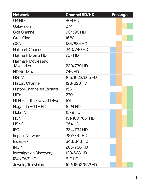| <b>Network</b>                          | <b>Channel SD/HD</b> | <b>Package</b> |
|-----------------------------------------|----------------------|----------------|
| G4HD                                    | 804 HD               |                |
| Galavisión                              | 274                  |                |
| <b>Golf Channel</b>                     | 93/593 HD            |                |
| <b>Gran Cine</b>                        | 1683                 |                |
| <b>GSN</b>                              | 184/684 HD           |                |
| <b>Hallmark Channel</b>                 | 240/740 HD           |                |
| Hallmark Drama HD                       | 737 HD               |                |
| Hallmark Movies and<br><b>Mysteries</b> | 239/739 HD           |                |
| <b>HD Net Movies</b>                    | 746 HD               |                |
| <b>HGTV</b>                             | 165/1622/665HD       |                |
| <b>History Channel</b>                  | 128/628 HD           |                |
| History Channel en Español              | 1561                 |                |
| HITn                                    | 279                  |                |
| <b>HLN Headline News Network</b>        | 101                  |                |
| Hogar de HGTV HD                        | 1624 HD              |                |
| <b>Hola TV</b>                          | 1579 HD              |                |
| <b>HSN</b>                              | 151/1601/651 HD      |                |
| HSN <sub>2</sub>                        | 654 HD               |                |
| <b>IFC</b>                              | 234/734 HD           |                |
| <b>Impact Network</b>                   | 287/787HD            |                |
| Indieplex                               | 348/848 HD           |                |
| <b>INSP</b>                             | 286/786HD            |                |
| <b>Investigation Discovery</b>          | 123/623 HD           |                |
| i24NEWSHD                               | 610 HD               |                |
| <b>Jewelry Television</b>               | 152/1602/652HD       |                |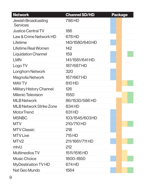| <b>Network</b>                         | <b>Channel SD/HD</b> | <b>Package</b> |
|----------------------------------------|----------------------|----------------|
| Jewish Broadcasting<br><b>Services</b> | 798 HD               |                |
| <b>Justice Central TV</b>              | 186                  |                |
| Law & Crime Network HD                 | 678 HD               |                |
| Lifetime                               | 140/1580/640HD       |                |
| Lifetime Real Women                    | 142                  |                |
| <b>Liquidation Channel</b>             | 159                  |                |
| <b>LMN</b>                             | 141/1581/641 HD      |                |
| Logo TV                                | 187/687 HD           |                |
| <b>Longhorn Network</b>                | 320                  |                |
| <b>Magnolia Network</b>                | 167/667 HD           |                |
| <b>MAV TV</b>                          | 810 HD               |                |
| <b>Military History Channel</b>        | 126                  |                |
| <b>Milenio Television</b>              | 1550                 |                |
| <b>MLB Network</b>                     | 86/1530/586 HD       |                |
| <b>MLB Network Strike Zone</b>         | 834 HD               |                |
| MotorTrend                             | 631HD                |                |
| <b>MSNBC</b>                           | 103/1545/603HD       |                |
| <b>MTV</b>                             | 210/710 HD           |                |
| <b>MTV Classic</b>                     | 218                  |                |
| <b>MTV Live</b>                        | 715 HD               |                |
| MTV <sub>2</sub>                       | 211/1661/711HD       |                |
| mtvU                                   | 212                  |                |
| <b>Multimedios TV</b>                  | 1511/1516 HD         |                |
| <b>Music Choice</b>                    | 1800-1850            |                |
| <b>MyDestination TV HD</b>             | 674 HD               |                |
| Nat Geo Mundo                          | 1564                 |                |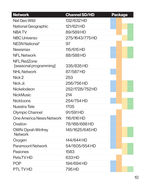| <b>Network</b>                               | <b>Channel SD/HD</b> | <b>Package</b> |
|----------------------------------------------|----------------------|----------------|
| <b>Nat Geo Wild</b>                          | 132/632 HD           |                |
| <b>National Geographic</b>                   | 121/621HD            |                |
| <b>NBATV</b>                                 | 89/589HD             |                |
| <b>NBC Universo</b>                          | 275/1643/775HD       |                |
| NESN National <sup>†</sup>                   | 97                   |                |
| <b>Newsmax</b>                               | 115/615 HD           |                |
| <b>NFL Network</b>                           | 88/588HD             |                |
| <b>NFL RedZone</b><br>[seasonal programming] | 335/835 HD           |                |
| <b>NHL Network</b>                           | 87/587HD             |                |
| Nick 2                                       | 253                  |                |
| Nick Jr.                                     | 256/756 HD           |                |
| Nickelodeon                                  | 252/1728/752HD       |                |
| <b>NickMusic</b>                             | 214                  |                |
| <b>Nicktoons</b>                             | 254/754 HD           |                |
| Nuestra Tele                                 | 1705                 |                |
| Olympic Channel                              | 91/591HD             |                |
| One America News Network                     | 116/616 HD           |                |
| Ovation                                      | 78/188/688HD         |                |
| <b>OWN: Oprah Winfrey</b><br><b>Network</b>  | 145/1625/645HD       |                |
| Oxygen                                       | 144/644 HD           |                |
| <b>Paramount Network</b>                     | 54/1505/554 HD       |                |
| <b>Pasiones</b>                              | 1583                 |                |
| Pets.TV HD                                   | 633 HD               |                |
| <b>POP</b>                                   | 194/694 HD           |                |
| <b>PTL TVHD</b>                              | 795 HD               |                |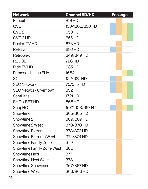| <b>Network</b>               | <b>Channel SD/HD</b> | <b>Package</b> |
|------------------------------|----------------------|----------------|
| Pursuit                      | 818 HD               |                |
| <b>QVC</b>                   | 150/1600/650HD       |                |
| QVC <sub>2</sub>             | 653HD                |                |
| QVC3HD                       | 656 HD               |                |
| <b>Recipe TV HD</b>          | 676 HD               |                |
| <b>REELZ</b>                 | 692HD                |                |
| Retroplex                    | 349/849HD            |                |
| <b>REVOLT</b>                | 726 HD               |                |
| <b>Ride TV HD</b>            | 635 HD               |                |
| <b>Ritmoson Latino EUA</b>   | 1664                 |                |
| <b>SCI</b>                   | 122/622 HD           |                |
| <b>SEC Network</b>           | 75/575 HD            |                |
| <b>SEC Network Overflow*</b> | 332                  |                |
| <b>Semillitas</b>            | 1721HD               |                |
| <b>SHO x BET HD</b>          | 868HD                |                |
| <b>ShopHQ</b>                | 157/1603/657 HD      |                |
| Showtime                     | 365/865 HD           |                |
| Showtime 2                   | 369/869HD            |                |
| Showtime 2 West              | 370/870 HD           |                |
| <b>Showtime Extreme</b>      | 373/873 HD           |                |
| <b>Showtime Extreme West</b> | 374/874 HD           |                |
| <b>Showtime Family Zone</b>  | 379                  |                |
| Showtime Family Zone West    | 380                  |                |
| <b>Showtime Next</b>         | 377                  |                |
| <b>Showtime Next West</b>    | 378                  |                |
| <b>Showtime Showcase</b>     | 367/867HD            |                |
| <b>Showtime West</b>         | 366/866 HD           |                |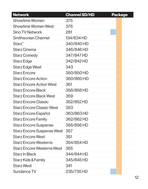| <b>Network</b>                    | <b>Channel SD/HD</b> | <b>Package</b> |
|-----------------------------------|----------------------|----------------|
| <b>Showtime Women</b>             | 375                  |                |
| <b>Showtime Women West</b>        | 376                  |                |
| <b>Sino TV Network</b>            | 281                  |                |
| <b>Smithsonian Channel</b>        | 134/634 HD           |                |
| <b>Starz</b> <sup>®</sup>         | 340/840 HD           |                |
| <b>Starz Cinema</b>               | 346/846 HD           |                |
| <b>Starz Comedy</b>               | 347/847 HD           |                |
| <b>Starz Edge</b>                 | 342/842 HD           |                |
| Starz Edge West                   | 343                  |                |
| <b>Starz Encore</b>               | 350/850 HD           |                |
| <b>Starz Encore Action</b>        | 360/860 HD           |                |
| <b>Starz Encore Action West</b>   | 361                  |                |
| <b>Starz Encore Black</b>         | 358/858 HD           |                |
| <b>Starz Encore Black West</b>    | 359                  |                |
| <b>Starz Encore Classic</b>       | 352/852 HD           |                |
| <b>Starz Encore Classic West</b>  | 353                  |                |
| Starz Encore Español              | 363/863 HD           |                |
| <b>Starz Encore Family</b>        | 362/862HD            |                |
| <b>Starz Encore Suspense</b>      | 356/856 HD           |                |
| Starz Encore Suspense West        | 357                  |                |
| <b>Starz Encore West</b>          | 351                  |                |
| <b>Starz Encore Westerns</b>      | 354/854 HD           |                |
| <b>Starz Encore Westerns West</b> | 355                  |                |
| Starz In Black                    | 344/844 HD           |                |
| Starz Kids & Family               | 345/845 HD           |                |
| <b>Starz West</b>                 | 341                  |                |
| Sundance TV                       | 235/735 HD           |                |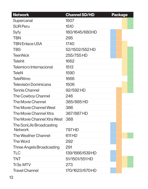| <b>Network</b>                 | <b>Channel SD/HD</b> | <b>Package</b> |
|--------------------------------|----------------------|----------------|
| Supercanal                     | 1507                 |                |
| <b>SUR Peru</b>                | 1510                 |                |
| Syfy                           | 180/1645/680HD       |                |
| <b>TBN</b>                     | 295                  |                |
| <b>TBN Enlace USA</b>          | 1740                 |                |
| <b>TBS</b>                     | 52/1502/552 HD       |                |
| <b>TeenNick</b>                | 255/755 HD           |                |
| <b>Telehit</b>                 | 1662                 |                |
| <b>Telemicro Internacional</b> | 1513                 |                |
| <b>TeleN</b>                   | 1590                 |                |
| <b>TeleRitmo</b>               | 1666                 |                |
| <b>Televisión Dominicana</b>   | 1506                 |                |
| <b>Tennis Channel</b>          | 92/592HD             |                |
| The Cowboy Channel             | 246                  |                |
| <b>The Movie Channel</b>       | 385/885 HD           |                |
| The Movie Channel West         | 386                  |                |
| The Movie Channel Xtra         | 387/887HD            |                |
| The Movie Channel Xtra West    | 388                  |                |
| The SonLife Broadcasting       |                      |                |
| <b>Network</b>                 | 797 HD               |                |
| The Weather Channel            | 611HD                |                |
| The Word                       | 292                  |                |
| Three Angels Broadcasting      | 291                  |                |
| <b>TLC</b>                     | 139/1566/639 HD      |                |
| TNT                            | 51/1501/551 HD       |                |
| Tr3s: MTV                      | 273                  |                |
| <b>Travel Channel</b>          | 170/1623/670HD       |                |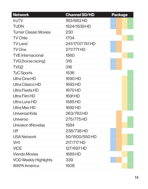| <b>Network</b>               | <b>Channel SD/HD</b> | <b>Package</b> |
|------------------------------|----------------------|----------------|
| truTV                        | 183/683 HD           |                |
| <b>TUDN</b>                  | 1524/1539 HD         |                |
| <b>Turner Classic Movies</b> | 230                  |                |
| <b>TV Chile</b>              | 1704                 |                |
| <b>TV Land</b>               | 241/1707/741HD       |                |
| <b>TV One</b>                | 271/771HD            |                |
| <b>TVE Internacional</b>     | 1560                 |                |
| TVG [horse racing]           | 315                  |                |
| TVG <sub>2</sub>             | 316                  |                |
| <b>TyC Sports</b>            | 1536                 |                |
| Ultra Cine HD                | 1690 HD              |                |
| Ultra Clásico HD             | 1693 HD              |                |
| Ultra Fiesta HD              | 1670 HD              |                |
| Ultra Film HD                | 1691 HD              |                |
| Ultra Luna HD                | 1585 HD              |                |
| Ultra Mex HD                 | 1692 HD              |                |
| <b>Universal Kids</b>        | 263/763HD            |                |
| Universo                     | 275/775 HD           |                |
| <b>Univision tlNovelas</b>   | 1584                 |                |
| UP                           | 238/738 HD           |                |
| <b>USA Network</b>           | 50/1500/550 HD       |                |
| VH <sub>1</sub>              | 217/717 HD           |                |
| <b>VICE</b>                  | 127/697 HD           |                |
| <b>Viendo Movies</b>         | 1689 HD              |                |
| <b>VOD Weekly Highlights</b> | 339                  |                |
| <b>WAPA América</b>          | 1508                 |                |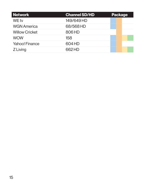| Network               | <b>Channel SD/HD</b> | <b>Package</b> |
|-----------------------|----------------------|----------------|
| WE tv                 | 149/649 HD           |                |
| <b>WGN America</b>    | 68/568HD             |                |
| <b>Willow Cricket</b> | 806 HD               |                |
| <b>WOW</b>            | 158                  |                |
| <b>Yahoo! Finance</b> | 604 HD               |                |
| Z Living              | 662HD                |                |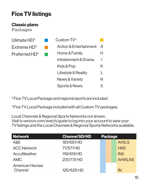# **Fios TV listings**

#### **Classic plans**

**Packages**

| Utimate $HD^3$          |
|-------------------------|
| Extreme HD <sup>3</sup> |
| Preferred $HD^3$        |

| $C$ ustom $TV4$                   |               |
|-----------------------------------|---------------|
| <b>Action &amp; Entertainment</b> | A             |
| Home & Family                     | H             |
| Infotainment & Drama              | I             |
| Kids & Pop                        | K             |
| Lifestyle & Reality               | L             |
| <b>News &amp; Variety</b>         | N             |
| <b>Sports &amp; News</b>          | $\mathcal{L}$ |

<sup>3</sup> Fios TV Local Package and regional sports are included.

<sup>4</sup> Fios TV Local Package included with all Custom TV packages.

Local Channels & Regional Sports Networks not shown. Visit tv.verizon.com/watch/guide to log into your account to view your TV listings and the Local Channels & Regional Sports Networks available.

| <b>Network</b>                    | <b>Channel SD/HD</b> | <b>Package</b> |                |
|-----------------------------------|----------------------|----------------|----------------|
| A&E                               | 181/681HD            |                | <b>AHILS</b>   |
| <b>ACC Network</b>                | 71/571HD             |                | <b>HNS</b>     |
| AccuWeather                       | 119/619 HD           |                | <b>INS</b>     |
| <b>AMC</b>                        | 231/731HD            |                | <b>AHIKLNS</b> |
| <b>American Heroes</b><br>Channel | 125/625 HD           |                | IN             |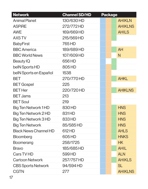| <b>Network</b>               | <b>Channel SD/HD</b> | <b>Package</b> |                |
|------------------------------|----------------------|----------------|----------------|
| <b>Animal Planet</b>         | 130/630 HD           |                | <b>AHIKLN</b>  |
| <b>ASPIRE</b>                | 272/772HD            |                | <b>AHIKLNS</b> |
| <b>AWE</b>                   | 169/669 HD           |                | <b>AHILS</b>   |
| <b>AXSTV</b>                 | 215/569 HD           |                |                |
| <b>BabyFirst</b>             | 765 HD               |                |                |
| <b>BBC</b> America           | 189/689 HD           |                | <b>AH</b>      |
| <b>BBC World News</b>        | 107/609 HD           |                | N              |
| <b>Beauty IQ</b>             | 656 HD               |                |                |
| belN Sports HD               | 805HD                |                |                |
| belN Sports en Español       | 1538                 |                |                |
| <b>BET</b>                   | 270/770 HD           |                | <b>AHKL</b>    |
| <b>BET Gospel</b>            | 225                  |                |                |
| <b>BET</b> Her               | 220/720 HD           |                | <b>AHIKLNS</b> |
| <b>BET Jams</b>              | 213                  |                |                |
| <b>BET Soul</b>              | 219                  |                |                |
| <b>Big Ten Network 1 HD</b>  | 830 HD               |                | <b>HNS</b>     |
| Big Ten Network 2 HD         | 831HD                |                | <b>HNS</b>     |
| <b>Big Ten Network 3 HD</b>  | 833HD                |                | <b>HNS</b>     |
| <b>Big Ten Network</b>       | 85/585 HD            |                | <b>HNS</b>     |
| <b>Black News Channel HD</b> | 612 HD               |                | <b>AHLS</b>    |
| <b>Bloomberg</b>             | 605 HD               |                | <b>HNKS</b>    |
| <b>Boomerang</b>             | 258/1725             |                | HK             |
| <b>Bravo</b>                 | 185/685 HD           |                | <b>AHIL</b>    |
| Cars TV HD                   | 599 HD               |                | <b>ALN</b>     |
| <b>Cartoon Network</b>       | 257/757 HD           |                | <b>AHIKLS</b>  |
| <b>CBS Sports Network</b>    | 94/594 HD            |                | <b>SL</b>      |
| <b>CGTN</b>                  | 277                  |                | <b>AHIKLNS</b> |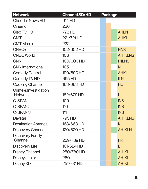| <b>Network</b>                          | <b>Channel SD/HD</b> | <b>Package</b> |                |
|-----------------------------------------|----------------------|----------------|----------------|
| <b>Cheddar News HD</b>                  | 614 HD               |                |                |
| Cinémoi                                 | 236                  |                |                |
| Cleo TV HD                              | 773 HD               |                | <b>AHLN</b>    |
| <b>CMT</b>                              | 221/721HD            |                | <b>AHKL</b>    |
| <b>CMT Music</b>                        | 222                  |                |                |
| CNBC+                                   | 102/602 HD           |                | <b>HNS</b>     |
| <b>CNBC World</b>                       | 106                  |                | <b>AHIKLNS</b> |
| <b>CNN</b>                              | 100/600 HD           |                | <b>HILNS</b>   |
| <b>CNN</b> International                | 105                  |                | N              |
| <b>Comedy Central</b>                   | 190/690 HD           |                | <b>AHKL</b>    |
| Comedy TV HD                            | 695HD                |                | <b>ILN</b>     |
| <b>Cooking Channel</b>                  | 163/663HD            |                | HL.            |
| Crime & Investigation<br><b>Network</b> | 182/679 HD           |                |                |
| <b>C-SPAN</b>                           | 109                  |                | <b>INS</b>     |
| C-SPAN <sub>2</sub>                     | 110                  |                | <b>INS</b>     |
| C-SPAN <sub>3</sub>                     | 111                  |                | <b>INS</b>     |
| Daystar                                 | 793 HD               |                | <b>AHIKLNS</b> |
| <b>Destination America</b>              | 168/668 HD           |                | KL             |
| <b>Discovery Channel</b>                | 120/620 HD           |                | <b>AHIKLN</b>  |
| <b>Discovery Family</b><br>Channel      | 259/789HD            |                | HK             |
| Discovery Life                          | 161/624 HD           |                |                |
| <b>Disney Channel</b>                   | 250/780 HD           |                | <b>AHIKL</b>   |
| <b>Disney Junior</b>                    | 260                  |                | <b>AHIKL</b>   |
| <b>Disney XD</b>                        | 251/781HD            |                | <b>AHIKL</b>   |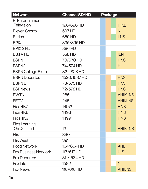| <b>Network</b>              | <b>Channel SD/HD</b> | <b>Package</b> |                |
|-----------------------------|----------------------|----------------|----------------|
| E! Entertainment            |                      |                |                |
| <b>Television</b>           | 196/696 HD           |                | <b>HIKL</b>    |
| <b>Eleven Sports</b>        | 597 HD               |                | K              |
| Enrich                      | 659HD                |                | <b>LNS</b>     |
| <b>EPIX</b>                 | 395/895 HD           |                |                |
| EPIX 2 HD                   | 896 HD               |                |                |
| <b>ES.TVHD</b>              | 558 HD               |                | <b>ILN</b>     |
| <b>ESPN</b>                 | 70/570 HD            |                | <b>HNS</b>     |
| ESPN <sub>2</sub>           | 74/574 HD            |                | Н              |
| <b>ESPN College Extra</b>   | 821-828 HD           |                |                |
| <b>ESPN Deportes</b>        | 1520/1537 HD         |                | <b>HNS</b>     |
| <b>ESPNU</b>                | 73/573 HD            |                | <b>HNS</b>     |
| <b>ESPNews</b>              | 72/572 HD            |                | <b>HNS</b>     |
| <b>EWTN</b>                 | 285                  |                | <b>AHIKLNS</b> |
| <b>FETV</b>                 | 245                  |                | <b>AHIKLNS</b> |
| Fios 4K7                    | 1497 <sup>‡</sup>    |                | <b>HNS</b>     |
| Fios 4K8                    | 1498 <sup>‡</sup>    |                | <b>HNS</b>     |
| Fios 4K9                    | 1499 <sup>‡</sup>    |                | <b>HNS</b>     |
| <b>Fios Learning</b>        |                      |                |                |
| <b>On Demand</b>            | 131                  |                | <b>AHIKLNS</b> |
| <b>Flix</b>                 | 390                  |                |                |
| <b>Flix West</b>            | 391                  |                |                |
| <b>Food Network</b>         | 164/664 HD           |                | <b>AHL</b>     |
| <b>Fox Business Network</b> | 117/617 HD           |                | <b>HIS</b>     |
| <b>Fox Deportes</b>         | 311/1534 HD          |                |                |
| <b>Fox Life</b>             | 1582                 |                | N              |
| <b>Fox News</b>             | 118/618 HD           |                | <b>AHILNS</b>  |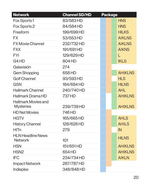| <b>Network</b>                             | <b>Channel SD/HD</b> | <b>Package</b> |                |
|--------------------------------------------|----------------------|----------------|----------------|
| Fox Sports 1                               | 83/583HD             |                | <b>HNS</b>     |
| Fox Sports 2                               | 84/584 HD            |                | <b>HNS</b>     |
| Freeform                                   | 199/699 HD           |                | <b>HILKS</b>   |
| FX.                                        | 53/553 HD            |                | <b>AIKLNS</b>  |
| <b>FX Movie Channel</b>                    | 232/732 HD           |                | <b>AIKLNS</b>  |
| <b>FXX</b>                                 | 191/691HD            |                | <b>AIKNS</b>   |
| <b>FYI</b>                                 | 129/629 HD           |                |                |
| G4HD                                       | 804 HD               |                | <b>IKLS</b>    |
| Galavisión                                 | 274                  |                |                |
| <b>Gem Shopping</b>                        | 658 HD               |                | <b>AHIKLNS</b> |
| <b>Golf Channel</b>                        | 93/593HD             |                | <b>HLS</b>     |
| <b>GSN</b>                                 | 184/684 HD           |                | <b>HILNS</b>   |
| <b>Hallmark Channel</b>                    | 240/740 HD           |                | <b>AHL</b>     |
| <b>Hallmark Drama HD</b>                   | 737 HD               |                | <b>AHIKLNS</b> |
| <b>Hallmark Movies and</b>                 |                      |                |                |
| <b>Mysteries</b>                           | 239/739 HD           |                | <b>AHIKLNS</b> |
| <b>HD Net Movies</b>                       | 746 HD               |                |                |
| <b>HGTV</b>                                | 165/665 HD           |                | <b>AHLS</b>    |
| <b>History Channel</b>                     | 128/628 HD           |                | <b>AHILS</b>   |
| <b>HITn</b>                                | 279                  |                | IN             |
| <b>HLN Headline News</b><br><b>Network</b> | 101                  |                | <b>HILNS</b>   |
| <b>HSN</b>                                 | 151/651HD            |                | <b>AHIKLNS</b> |
| HSN <sub>2</sub>                           | 654 HD               |                | <b>AHIKLNS</b> |
| <b>IFC</b>                                 | 234/734 HD           |                | <b>AIKLN</b>   |
| <b>Impact Network</b>                      | 287/787HD            |                |                |
| <b>Indieplex</b>                           | 348/848HD            |                |                |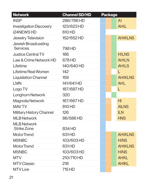| <b>Network</b>                                | <b>Channel SD/HD</b> | <b>Package</b> |                |
|-----------------------------------------------|----------------------|----------------|----------------|
| <b>INSP</b>                                   | 286/786HD            |                | $\mathsf{Al}$  |
| <b>Investigation Discovery</b>                | 123/623 HD           |                | <b>AHIL</b>    |
| <b>i24NEWSHD</b>                              | 610 HD               |                |                |
| <b>Jewelry Television</b>                     | 152/652 HD           |                | <b>AHIKLNS</b> |
| <b>Jewish Broadcasting</b><br><b>Services</b> | 798 HD               |                |                |
| <b>Justice Central TV</b>                     | 186                  |                | <b>HILNS</b>   |
| Law & Crime Network HD                        | 678 HD               |                | <b>AHILN</b>   |
| Lifetime                                      | 140/640 HD           |                | <b>AHILS</b>   |
| Lifetime Real Women                           | 142                  |                |                |
| <b>Liquidation Channel</b>                    | 159                  |                | <b>AHIKLNS</b> |
| <b>LMN</b>                                    | 141/641HD            |                | <b>AHL</b>     |
| Logo TV                                       | 187/687HD            |                | L              |
| <b>Longhorn Network</b>                       | 320                  |                |                |
| <b>Magnolia Network</b>                       | 167/667HD            |                | H              |
| <b>MAV TV</b>                                 | 810 HD               |                | <b>AILNS</b>   |
| <b>Military History Channel</b>               | 126                  |                | <b>ILN</b>     |
| <b>MLB Network</b>                            | 86/586HD             |                | <b>HNS</b>     |
| <b>MLB Network</b><br><b>Strike Zone</b>      | 834 HD               |                |                |
| <b>MotorTrend</b>                             | 631HD                |                | <b>AHIKLNS</b> |
| <b>MSNBC</b>                                  | 103/603 HD           |                | <b>HINS</b>    |
| <b>MotorTrend</b>                             | 631HD                |                | <b>AHIKLNS</b> |
| <b>MSNBC</b>                                  | 103/603 HD           |                | <b>HINS</b>    |
| <b>MTV</b>                                    | 210/710 HD           |                | <b>AHKL</b>    |
| <b>MTV Classic</b>                            | 218                  |                | <b>AHIKL</b>   |
| <b>MTV Live</b>                               | 715 HD               |                |                |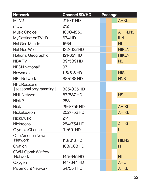| <b>Network</b>                               | <b>Channel SD/HD</b> | <b>Package</b> |                |
|----------------------------------------------|----------------------|----------------|----------------|
| MTV2                                         | 211/711 HD           |                | <b>AHKL</b>    |
| mtvU                                         | 212                  |                |                |
| <b>Music Choice</b>                          | 1800-1850            |                | <b>AHIKLNS</b> |
| <b>MyDestination TVHD</b>                    | 674 HD               |                | <b>ILN</b>     |
| Nat Geo Mundo                                | 1564                 |                | <b>HIL</b>     |
| Nat Geo Wild                                 | 132/632 HD           |                | <b>HIKLN</b>   |
| <b>National Geographic</b>                   | 121/621HD            |                | <b>HIKLN</b>   |
| <b>NBATV</b>                                 | 89/589HD             |                | <b>NS</b>      |
| NESN National <sup>t</sup>                   | 97                   |                |                |
| <b>Newsmax</b>                               | 115/615 HD           |                | <b>HIS</b>     |
| <b>NFL Network</b>                           | 88/588HD             |                | <b>HNS</b>     |
| <b>NFL RedZone</b><br>[seasonal programming] | 335/835 HD           |                |                |
| <b>NHL Network</b>                           | 87/587HD             |                | <b>NS</b>      |
| Nick 2                                       | 253                  |                |                |
| Nick Jr.                                     | 256/756 HD           |                | <b>AHIKL</b>   |
| <b>Nickelodeon</b>                           | 252/752 HD           |                | <b>AHIKL</b>   |
| <b>NickMusic</b>                             | 214                  |                |                |
| <b>Nicktoons</b>                             | 254/754 HD           |                | <b>AHIKL</b>   |
| <b>Olympic Channel</b>                       | 91/591HD             |                | L              |
| <b>One America News</b>                      |                      |                |                |
| <b>Network</b>                               | 116/616 HD           |                | <b>HILNS</b>   |
| Ovation                                      | 188/688 HD           |                | H              |
| <b>OWN: Oprah Winfrey</b><br><b>Network</b>  | 145/645 HD           |                | <b>HIL</b>     |
| Oxygen                                       | 144/644 HD           |                | <b>AHL</b>     |
| <b>Paramount Network</b>                     | 54/554 HD            |                | <b>AHKL</b>    |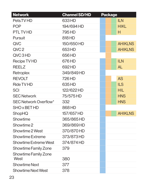| <b>Network</b>                      | <b>Channel SD/HD</b> | <b>Package</b> |                |
|-------------------------------------|----------------------|----------------|----------------|
| Pets.TV HD                          | 633 HD               |                | <b>ILN</b>     |
| <b>POP</b>                          | 194/694 HD           |                | <b>HIKL</b>    |
| <b>PTL TVHD</b>                     | 795 HD               |                | Н              |
| <b>Pursuit</b>                      | 818 HD               |                |                |
| QVC                                 | 150/650 HD           |                | <b>AHIKLNS</b> |
| QVC <sub>2</sub>                    | 653HD                |                | <b>AHIKLNS</b> |
| QVC3HD                              | 656 HD               |                |                |
| <b>Recipe TV HD</b>                 | 676 HD               |                | <b>ILN</b>     |
| <b>REELZ</b>                        | 692HD                |                | <b>AL</b>      |
| Retroplex                           | 349/849HD            |                |                |
| <b>REVOLT</b>                       | 726 HD               |                | <b>AS</b>      |
| <b>Ride TV HD</b>                   | 635 HD               |                | <b>ILS</b>     |
| <b>SCI</b>                          | 122/622 HD           |                | <b>HIL</b>     |
| <b>SEC Network</b>                  | 75/575 HD            |                | <b>HNS</b>     |
| <b>SEC Network Overflow*</b>        | 332                  |                | <b>HNS</b>     |
| <b>SHO x BET HD</b>                 | 868HD                |                |                |
| ShopHQ                              | 157/657 HD           |                | <b>AHIKLNS</b> |
| Showtime                            | 365/865 HD           |                |                |
| Showtime 2                          | 369/869HD            |                |                |
| Showtime 2 West                     | 370/870 HD           |                |                |
| <b>Showtime Extreme</b>             | 373/873 HD           |                |                |
| <b>Showtime Extreme West</b>        | 374/874 HD           |                |                |
| <b>Showtime Family Zone</b>         | 379                  |                |                |
| <b>Showtime Family Zone</b><br>West | 380                  |                |                |
| <b>Showtime Next</b>                | 377                  |                |                |
| <b>Showtime Next West</b>           | 378                  |                |                |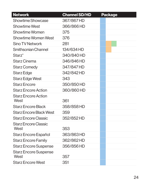| <b>Network</b>                       | <b>Channel SD/HD</b> | <b>Package</b> |
|--------------------------------------|----------------------|----------------|
| <b>Showtime Showcase</b>             | 367/867HD            |                |
| <b>Showtime West</b>                 | 366/866HD            |                |
| <b>Showtime Women</b>                | 375                  |                |
| <b>Showtime Women West</b>           | 376                  |                |
| <b>Sino TV Network</b>               | 281                  |                |
| <b>Smithsonian Channel</b>           | 134/634 HD           |                |
| <b>Starz</b> <sup>®</sup>            | 340/840 HD           |                |
| <b>Starz Cinema</b>                  | 346/846 HD           |                |
| <b>Starz Comedy</b>                  | 347/847 HD           |                |
| <b>Starz Edge</b>                    | 342/842 HD           |                |
| <b>Starz Edge West</b>               | 343                  |                |
| <b>Starz Encore</b>                  | 350/850 HD           |                |
| <b>Starz Encore Action</b>           | 360/860 HD           |                |
| <b>Starz Encore Action</b><br>West   | 361                  |                |
| <b>Starz Encore Black</b>            | 358/858 HD           |                |
| <b>Starz Encore Black West</b>       | 359                  |                |
| <b>Starz Encore Classic</b>          | 352/852 HD           |                |
| <b>Starz Encore Classic</b><br>West  | 353                  |                |
| Starz Encore Español                 | 363/863 HD           |                |
| <b>Starz Encore Family</b>           | 362/862 HD           |                |
| <b>Starz Encore Suspense</b>         | 356/856 HD           |                |
| <b>Starz Encore Suspense</b><br>West | 357                  |                |
| <b>Starz Encore West</b>             | 351                  |                |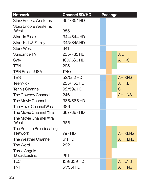| <b>Network</b>                                   | <b>Channel SD/HD</b> | <b>Package</b> |                |
|--------------------------------------------------|----------------------|----------------|----------------|
| <b>Starz Encore Westerns</b>                     | 354/854 HD           |                |                |
| <b>Starz Encore Westerns</b><br>West             | 355                  |                |                |
| <b>Starz In Black</b>                            | 344/844 HD           |                |                |
| Starz Kids & Family                              | 345/845 HD           |                |                |
| <b>Starz West</b>                                | 341                  |                |                |
| <b>Sundance TV</b>                               | 235/735 HD           |                | <b>AIL</b>     |
| Syfy                                             | 180/680 HD           |                | <b>AHIKS</b>   |
| <b>TBN</b>                                       | 295                  |                |                |
| <b>TBN Enlace USA</b>                            | 1740                 |                |                |
| <b>TBS</b>                                       | 52/552 HD            |                | <b>AHIKNS</b>  |
| <b>TeenNick</b>                                  | 255/755 HD           |                | <b>AHIKL</b>   |
| <b>Tennis Channel</b>                            | 92/592HD             |                | S              |
| The Cowboy Channel                               | 246                  |                | <b>AHILNS</b>  |
| <b>The Movie Channel</b>                         | 385/885HD            |                |                |
| The Movie Channel West                           | 386                  |                |                |
| The Movie Channel Xtra<br>The Movie Channel Xtra | 387/887HD            |                |                |
| West                                             | 388                  |                |                |
| The SonLife Broadcasting<br><b>Network</b>       | 797 HD               |                | <b>AHIKLNS</b> |
| <b>The Weather Channel</b>                       | 611HD                |                | <b>AHIKLNS</b> |
| The Word                                         | 292                  |                |                |
| <b>Three Angels</b><br><b>Broadcasting</b>       | 291                  |                |                |
| TLC                                              | 139/639 HD           |                | <b>AHILNS</b>  |
| TNT                                              | 51/551HD             |                | <b>AHIKNS</b>  |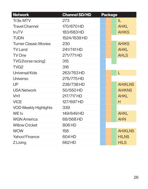| <b>Network</b>               | <b>Channel SD/HD</b> | <b>Package</b> |                |
|------------------------------|----------------------|----------------|----------------|
| Tr3s: MTV                    | 273                  |                | IL.            |
| <b>Travel Channel</b>        | 170/670 HD           |                | <b>AHKL</b>    |
| truTV                        | 183/683 HD           |                | <b>AHIKS</b>   |
| <b>TUDN</b>                  | 1524/1539 HD         |                |                |
| <b>Turner Classic Movies</b> | 230                  |                | <b>AHIKS</b>   |
| <b>TV Land</b>               | 241/741HD            |                | <b>AHKL</b>    |
| <b>TV One</b>                | 271/771HD            |                | <b>AHLS</b>    |
| <b>TVG</b> [horse racing]    | 315                  |                |                |
| TVG <sub>2</sub>             | 316                  |                |                |
| <b>Universal Kids</b>        | 263/763HD            |                | L              |
| Universo                     | 275/775 HD           |                |                |
| <b>UP</b>                    | 238/738 HD           |                | <b>AHIKLNS</b> |
| <b>USA Network</b>           | 50/550 HD            |                | <b>AHIKNS</b>  |
| VH <sub>1</sub>              | 217/717 HD           |                | <b>AHKL</b>    |
| <b>VICE</b>                  | 127/697 HD           |                | Н              |
| <b>VOD Weekly Highlights</b> | 339                  |                |                |
| WE tv                        | 149/649 HD           |                | <b>AHKL</b>    |
| <b>WGN America</b>           | 68/568HD             |                | <b>AHN</b>     |
| <b>Willow Cricket</b>        | 806HD                |                |                |
| <b>WOW</b>                   | 158                  |                | <b>AHIKLNS</b> |
| Yahoo! Finance               | 604 HD               |                | <b>HILNS</b>   |
| Z Living                     | 662HD                |                | <b>HILS</b>    |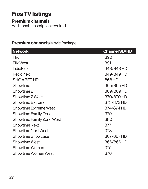# **Fios TV listings**

#### **Premium channels**

Additional subscription required.

#### **Premium channels** Movie Package

| <b>Network</b>                   | <b>Channel SD/HD</b> |
|----------------------------------|----------------------|
| <b>Flix</b>                      | 390                  |
| <b>Flix West</b>                 | 391                  |
| <b>IndiePlex</b>                 | 348/848 HD           |
| <b>RetroPlex</b>                 | 349/849 HD           |
| <b>SHO x BET HD</b>              | 868 HD               |
| Showtime                         | 365/865 HD           |
| Showtime 2                       | 369/869 HD           |
| Showtime 2 West                  | 370/870 HD           |
| <b>Showtime Extreme</b>          | 373/873 HD           |
| <b>Showtime Extreme West</b>     | 374/874 HD           |
| <b>Showtime Family Zone</b>      | 379                  |
| <b>Showtime Family Zone West</b> | 380                  |
| <b>Showtime Next</b>             | 377                  |
| <b>Showtime Next West</b>        | 378                  |
| <b>Showtime Showcase</b>         | 367/867HD            |
| <b>Showtime West</b>             | 366/866 HD           |
| <b>Showtime Women</b>            | 375                  |
| <b>Showtime Women West</b>       | 376                  |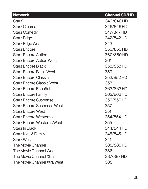| <b>Network</b>                    | <b>Channel SD/HD</b> |
|-----------------------------------|----------------------|
| <b>Starz</b> <sup>®</sup>         | 340/840 HD           |
| <b>Starz Cinema</b>               | 346/846 HD           |
| <b>Starz Comedy</b>               | 347/847 HD           |
| Starz Edge                        | 342/842 HD           |
| <b>Starz Edge West</b>            | 343                  |
| <b>Starz Encore</b>               | 350/850 HD           |
| <b>Starz Encore Action</b>        | 360/860 HD           |
| <b>Starz Encore Action West</b>   | 361                  |
| <b>Starz Encore Black</b>         | 358/858 HD           |
| <b>Starz Encore Black West</b>    | 359                  |
| <b>Starz Encore Classic</b>       | 352/852 HD           |
| <b>Starz Encore Classic West</b>  | 353                  |
| Starz Encore Español              | 363/863 HD           |
| <b>Starz Encore Family</b>        | 362/862HD            |
| <b>Starz Encore Suspense</b>      | 356/856 HD           |
| <b>Starz Encore Suspense West</b> | 357                  |
| <b>Starz Encore West</b>          | 351                  |
| <b>Starz Encore Westerns</b>      | 354/854 HD           |
| <b>Starz Encore Westerns West</b> | 355                  |
| Starz In Black                    | 344/844 HD           |
| Starz Kids & Family               | 345/845 HD           |
| <b>Starz West</b>                 | 341                  |
| The Movie Channel                 | 385/885 HD           |
| The Movie Channel West            | 386                  |
| The Movie Channel Xtra            | 387/887HD            |
| The Movie Channel Xtra West       | 388                  |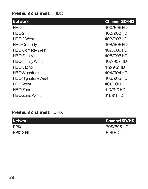#### **Premium channels** HBO

| <b>Network</b>            | <b>Channel SD/HD</b> |
|---------------------------|----------------------|
| <b>HBO</b>                | 400/899HD            |
| HBO2                      | 402/902 HD           |
| HBO <sub>2</sub> West     | 403/903 HD           |
| <b>HBO Comedy</b>         | 408/908 HD           |
| <b>HBO Comedy West</b>    | 409/909 HD           |
| <b>HBO</b> Family         | 406/906HD            |
| <b>HBO Family West</b>    | 407/907 HD           |
| <b>HBO Latino</b>         | 412/912 HD           |
| <b>HBO Signature</b>      | 404/904 HD           |
| <b>HBO Signature West</b> | 405/905 HD           |
| <b>HBO</b> West           | 401/901HD            |
| <b>HBO</b> Zone           | 410/910 HD           |
| <b>HBO Zone West</b>      | 411/911 HD           |

### **Premium channels** EPIX

| <b>Network</b> | <b>Channel SD/HD</b> |
|----------------|----------------------|
| <b>EPIX</b>    | 395/895 HD           |
| EPIX 2 HD      | 896 HD               |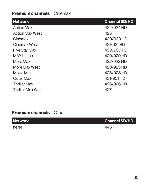#### **Premium channels** Cinemax

| <b>Network</b>           | <b>Channel SD/HD</b> |
|--------------------------|----------------------|
| <b>Action Max</b>        | 424/924 HD           |
| <b>Action Max West</b>   | 425                  |
| Cinemax                  | 420/920 HD           |
| Cinemax West             | 421/921HD            |
| Five Star Max            | 430/930 HD           |
| <b>MAX Latino</b>        | 429/929 HD           |
| More Max                 | 422/922 HD           |
| More Max West            | 423/923 HD           |
| Movie Max                | 428/928 HD           |
| <b>Outer Max</b>         | 431/931HD            |
| <b>Thriller Max</b>      | 426/926 HD           |
| <b>Thriller Max West</b> | 427                  |

### **Premium channels** Other

here! 445

*Network* **Channel SD/HD**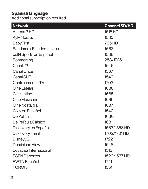#### **Spanish language**

Additional subscription required.

| <b>Network</b>                 | <b>Channel SD/HD</b> |
|--------------------------------|----------------------|
| Antena 3 HD                    | 1515 HD              |
| <b>AyM Sports</b>              | 1535                 |
| <b>BabyFirst</b>               | 765 HD               |
| <b>Bandamax Estados Unidos</b> | 1663                 |
| belN Sports en Español         | 1538                 |
| <b>Boomerang</b>               | 258/1725             |
| Canal 22                       | 1646                 |
| <b>Canal Once</b>              | 1567                 |
| <b>Canal SUR</b>               | 1549                 |
| Centroamérica TV               | 1703                 |
| Cine Estelar                   | 1688                 |
| Cine Latino                    | 1685                 |
| Cine Mexicano                  | 1686                 |
| Cine Nostalgia                 | 1687                 |
| CNN en Español                 | 1540                 |
| De Película                    | 1680                 |
| De Película Clásico            | 1681                 |
| Discovery en Español           | 1563/1558 HD         |
| Discovery Familia              | 1702/1701 HD         |
| Disney XD                      | 1722                 |
| <b>Dominican View</b>          | 1548                 |
| Ecuavisa Internacional         | 1512                 |
| <b>ESPN Deportes</b>           | 1520/1537 HD         |
| <b>EWTN</b> Español            | 1741                 |
| <b>FOROtv</b>                  | 1551                 |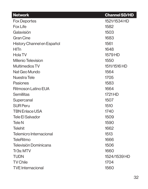| <b>Network</b>             | <b>Channel SD/HD</b> |
|----------------------------|----------------------|
| <b>Fox Deportes</b>        | 1521/1534 HD         |
| <b>Fox Life</b>            | 1582                 |
| Galavisión                 | 1503                 |
| <b>Gran Cine</b>           | 1683                 |
| History Channel en Español | 1561                 |
| <b>HITn</b>                | 1648                 |
| Hola TV                    | 1579 HD              |
| <b>Milenio Television</b>  | 1550                 |
| <b>Multimedios TV</b>      | 1511/1516 HD         |
| Nat Geo Mundo              | 1564                 |
| Nuestra Tele               | 1705                 |
| <b>Pasiones</b>            | 1583                 |
| Ritmoson Latino EUA        | 1664                 |
| <b>Semillitas</b>          | 1721 HD              |
| Supercanal                 | 1507                 |
| <b>SUR Peru</b>            | 1510                 |
| <b>TBN Enlace USA</b>      | 1740                 |
| Tele El Salvador           | 1509                 |
| Tele N                     | 1590                 |
| <b>Telehit</b>             | 1662                 |
| Telemicro Internacional    | 1513                 |
| <b>TeleRitmo</b>           | 1666                 |
| Televisión Dominicana      | 1506                 |
| Tr3s: MTV                  | 1660                 |
| <b>TUDN</b>                | 1524/1539 HD         |
| <b>TV Chile</b>            | 1704                 |
| <b>TVE Internacional</b>   | 1560                 |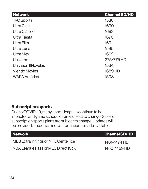| <b>Network</b>             | <b>Channel SD/HD</b> |
|----------------------------|----------------------|
| <b>TyC Sports</b>          | 1536                 |
| <b>Ultra Cine</b>          | 1690                 |
| Ultra Clásico              | 1693                 |
| Ultra Fiesta               | 1670                 |
| Ultra Film                 | 1691                 |
| Ultra Luna                 | 1585                 |
| Ultra Mex                  | 1692                 |
| Universo                   | 275/775 HD           |
| <b>Univision tlNovelas</b> | 1584                 |
| <b>Viendo Movies</b>       | 1689 HD              |
| <b>WAPA América</b>        | 1508                 |

#### **Subscription sports**

Due to COVID-19, many sports leagues continue to be impacted and game schedules are subject to change. Sales of subscription sports plans are subject to change. Updates will be provided as soon as more information is made available.

| <b>Channel SD/HD</b> |
|----------------------|
| 1461–1474 HD         |
| 1450–1459 HD         |
|                      |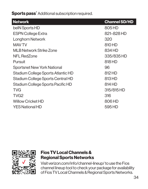**Sports pass<sup>^</sup>Additional subscription required.** 

| <b>Network</b>                     | <b>Channel SD/HD</b> |
|------------------------------------|----------------------|
| belN Sports HD                     | 805 HD               |
| <b>ESPN College Extra</b>          | 821-828 HD           |
| Longhorn Network                   | 320                  |
| <b>MAV TV</b>                      | 810 HD               |
| <b>MLB Network Strike Zone</b>     | 834 HD               |
| <b>NFL RedZone</b>                 | 335/835 HD           |
| Pursuit                            | 818 HD               |
| <b>Sportsnet New York National</b> | 96                   |
| Stadium College Sports Atlantic HD | 812 HD               |
| Stadium College Sports Central HD  | 813 HD               |
| Stadium College Sports Pacific HD  | 814 HD               |
| <b>TVG</b>                         | 315/815 HD           |
| TVG <sub>2</sub>                   | 316                  |
| <b>Willow Cricket HD</b>           | 806 HD               |
| <b>YES National HD</b>             | 595 HD               |



#### **Fios TV Local Channels & Regional Sports Networks**

Visit verizon.com/info/channel-lineup/ to use the Fios channel lineup tool to check your package for availability of Fios TV Local Channels & Regional Sports Networks.